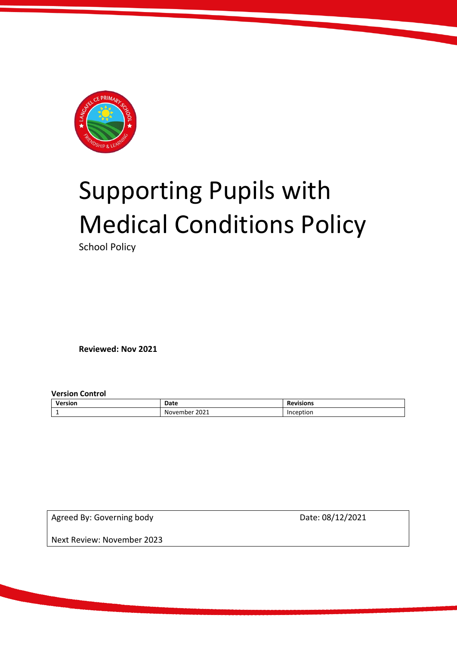

# Supporting Pupils with Medical Conditions Policy

School Policy

**Reviewed: Nov 2021**

**Version Control** 

| Version | Date             | Revisions |
|---------|------------------|-----------|
| -       | 2021<br>November | Inception |

Agreed By: Governing body Date: 08/12/2021

Next Review: November 2023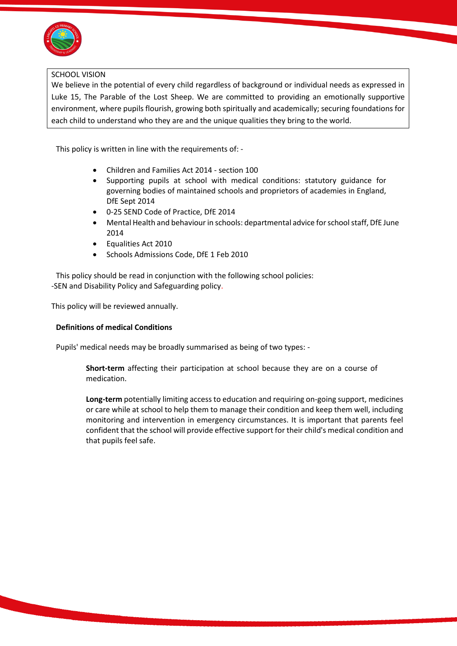

#### SCHOOL VISION

We believe in the potential of every child regardless of background or individual needs as expressed in Luke 15, The Parable of the Lost Sheep. We are committed to providing an emotionally supportive environment, where pupils flourish, growing both spiritually and academically; securing foundations for each child to understand who they are and the unique qualities they bring to the world.

This policy is written in line with the requirements of: -

- Children and Families Act 2014 section 100
- Supporting pupils at school with medical conditions: statutory guidance for governing bodies of maintained schools and proprietors of academies in England, DfE Sept 2014
- 0-25 SEND Code of Practice, DfE 2014
- Mental Health and behaviour in schools: departmental advice for school staff, DfE June 2014
- Equalities Act 2010
- Schools Admissions Code, DfE 1 Feb 2010

This policy should be read in conjunction with the following school policies: -SEN and Disability Policy and Safeguarding policy.

This policy will be reviewed annually.

## **Definitions of medical Conditions**

Pupils' medical needs may be broadly summarised as being of two types: -

**Short-term** affecting their participation at school because they are on a course of medication.

**Long-term** potentially limiting access to education and requiring on-going support, medicines or care while at school to help them to manage their condition and keep them well, including monitoring and intervention in emergency circumstances. It is important that parents feel confident that the school will provide effective support for their child's medical condition and that pupils feel safe.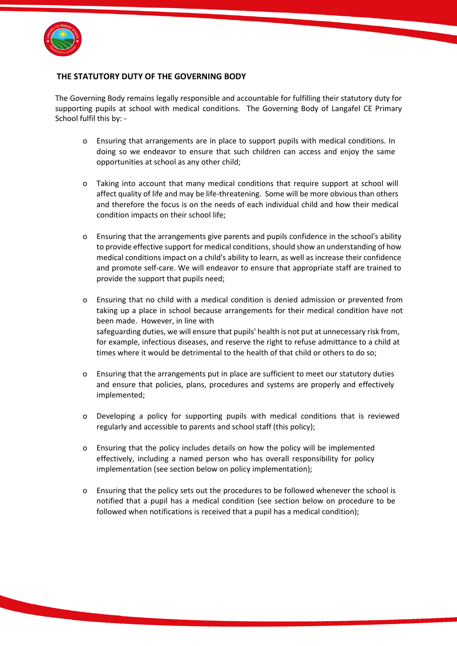

## **THE STATUTORY DUTY OF THE GOVERNING BODY**

The Governing Body remains legally responsible and accountable for fulfilling their statutory duty for supporting pupils at school with medical conditions. The Governing Body of Langafel CE Primary School fulfil this by: -

- o Ensuring that arrangements are in place to support pupils with medical conditions. In doing so we endeavor to ensure that such children can access and enjoy the same opportunities at school as any other child;
- o Taking into account that many medical conditions that require support at school will affect quality of life and may be life-threatening. Some will be more obvious than others and therefore the focus is on the needs of each individual child and how their medical condition impacts on their school life;
- o Ensuring that the arrangements give parents and pupils confidence in the school's ability to provide effective support for medical conditions, should show an understanding of how medical conditions impact on a child's ability to learn, as well as increase their confidence and promote self-care. We will endeavor to ensure that appropriate staff are trained to provide the support that pupils need;
- o Ensuring that no child with a medical condition is denied admission or prevented from taking up a place in school because arrangements for their medical condition have not been made. However, in line with safeguarding duties, we will ensure that pupils' health is not put at unnecessary risk from, for example, infectious diseases, and reserve the right to refuse admittance to a child at times where it would be detrimental to the health of that child or others to do so;
- o Ensuring that the arrangements put in place are sufficient to meet our statutory duties and ensure that policies, plans, procedures and systems are properly and effectively implemented;
- o Developing a policy for supporting pupils with medical conditions that is reviewed regularly and accessible to parents and school staff (this policy);
- o Ensuring that the policy includes details on how the policy will be implemented effectively, including a named person who has overall responsibility for policy implementation (see section below on policy implementation);
- o Ensuring that the policy sets out the procedures to be followed whenever the school is notified that a pupil has a medical condition (see section below on procedure to be followed when notifications is received that a pupil has a medical condition);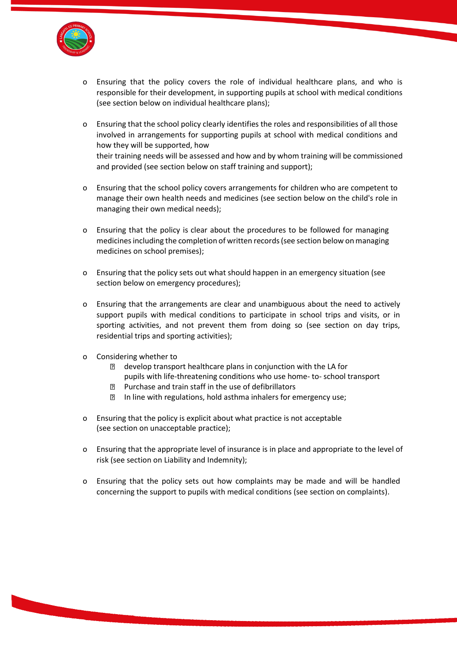

- o Ensuring that the policy covers the role of individual healthcare plans, and who is responsible for their development, in supporting pupils at school with medical conditions (see section below on individual healthcare plans);
- o Ensuring that the school policy clearly identifies the roles and responsibilities of all those involved in arrangements for supporting pupils at school with medical conditions and how they will be supported, how their training needs will be assessed and how and by whom training will be commissioned and provided (see section below on staff training and support);
- o Ensuring that the school policy covers arrangements for children who are competent to manage their own health needs and medicines (see section below on the child's role in managing their own medical needs);
- o Ensuring that the policy is clear about the procedures to be followed for managing medicinesincluding the completion of written records (see section below on managing medicines on school premises);
- o Ensuring that the policy sets out what should happen in an emergency situation (see section below on emergency procedures);
- o Ensuring that the arrangements are clear and unambiguous about the need to actively support pupils with medical conditions to participate in school trips and visits, or in sporting activities, and not prevent them from doing so (see section on day trips, residential trips and sporting activities);
- o Considering whether to
	- develop transport healthcare plans in conjunction with the LA for pupils with life-threatening conditions who use home- to- school transport
	- Purchase and train staff in the use of defibrillators  $\overline{?}$
	- **In line with regulations, hold asthma inhalers for emergency use;**
- o Ensuring that the policy is explicit about what practice is not acceptable (see section on unacceptable practice);
- o Ensuring that the appropriate level of insurance is in place and appropriate to the level of risk (see section on Liability and Indemnity);
- o Ensuring that the policy sets out how complaints may be made and will be handled concerning the support to pupils with medical conditions (see section on complaints).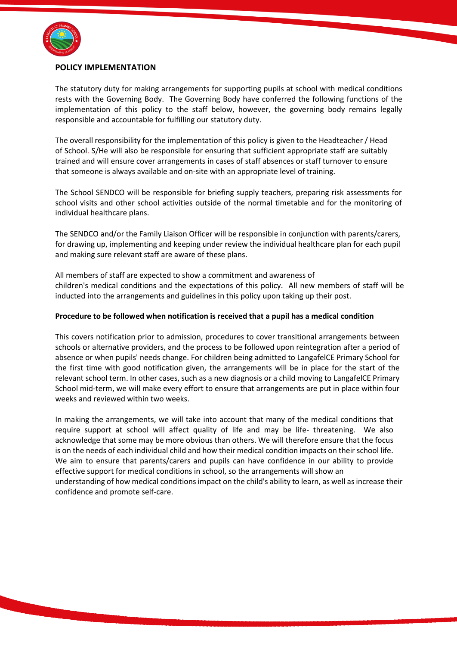

## **POLICY IMPLEMENTATION**

The statutory duty for making arrangements for supporting pupils at school with medical conditions rests with the Governing Body. The Governing Body have conferred the following functions of the implementation of this policy to the staff below, however, the governing body remains legally responsible and accountable for fulfilling our statutory duty.

The overall responsibility for the implementation of this policy is given to the Headteacher / Head of School. S/He will also be responsible for ensuring that sufficient appropriate staff are suitably trained and will ensure cover arrangements in cases of staff absences or staff turnover to ensure that someone is always available and on-site with an appropriate level of training.

The School SENDCO will be responsible for briefing supply teachers, preparing risk assessments for school visits and other school activities outside of the normal timetable and for the monitoring of individual healthcare plans.

The SENDCO and/or the Family Liaison Officer will be responsible in conjunction with parents/carers, for drawing up, implementing and keeping under review the individual healthcare plan for each pupil and making sure relevant staff are aware of these plans.

All members of staff are expected to show a commitment and awareness of children's medical conditions and the expectations of this policy. All new members of staff will be inducted into the arrangements and guidelines in this policy upon taking up their post.

#### **Procedure to be followed when notification is received that a pupil has a medical condition**

This covers notification prior to admission, procedures to cover transitional arrangements between schools or alternative providers, and the process to be followed upon reintegration after a period of absence or when pupils' needs change. For children being admitted to LangafelCE Primary School for the first time with good notification given, the arrangements will be in place for the start of the relevant school term. In other cases, such as a new diagnosis or a child moving to LangafelCE Primary School mid-term, we will make every effort to ensure that arrangements are put in place within four weeks and reviewed within two weeks.

In making the arrangements, we will take into account that many of the medical conditions that require support at school will affect quality of life and may be life- threatening. We also acknowledge that some may be more obvious than others. We will therefore ensure that the focus is on the needs of each individual child and how their medical condition impacts on their school life. We aim to ensure that parents/carers and pupils can have confidence in our ability to provide effective support for medical conditions in school, so the arrangements will show an understanding of how medical conditions impact on the child's ability to learn, as well as increase their confidence and promote self-care.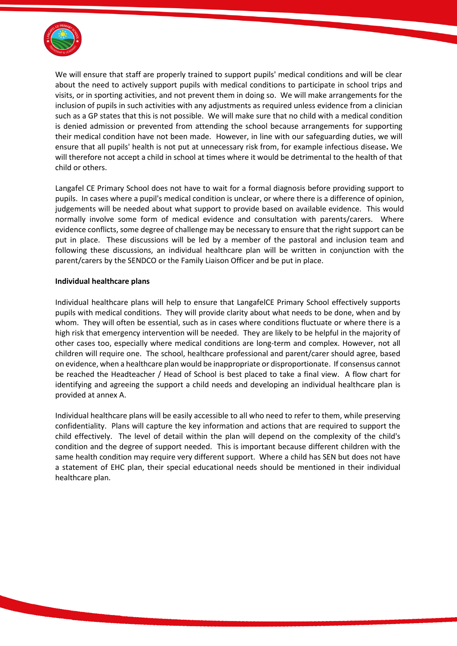

We will ensure that staff are properly trained to support pupils' medical conditions and will be clear about the need to actively support pupils with medical conditions to participate in school trips and visits, or in sporting activities, and not prevent them in doing so. We will make arrangements for the inclusion of pupils in such activities with any adjustments as required unless evidence from a clinician such as a GP states that this is not possible. We will make sure that no child with a medical condition is denied admission or prevented from attending the school because arrangements for supporting their medical condition have not been made. However, in line with our safeguarding duties, we will ensure that all pupils' health is not put at unnecessary risk from, for example infectious disease**.** We will therefore not accept a child in school at times where it would be detrimental to the health of that child or others.

Langafel CE Primary School does not have to wait for a formal diagnosis before providing support to pupils. In cases where a pupil's medical condition is unclear, or where there is a difference of opinion, judgements will be needed about what support to provide based on available evidence. This would normally involve some form of medical evidence and consultation with parents/carers. Where evidence conflicts, some degree of challenge may be necessary to ensure that the right support can be put in place. These discussions will be led by a member of the pastoral and inclusion team and following these discussions, an individual healthcare plan will be written in conjunction with the parent/carers by the SENDCO or the Family Liaison Officer and be put in place.

#### **Individual healthcare plans**

Individual healthcare plans will help to ensure that LangafelCE Primary School effectively supports pupils with medical conditions. They will provide clarity about what needs to be done, when and by whom. They will often be essential, such as in cases where conditions fluctuate or where there is a high risk that emergency intervention will be needed. They are likely to be helpful in the majority of other cases too, especially where medical conditions are long-term and complex. However, not all children will require one. The school, healthcare professional and parent/carer should agree, based on evidence, when a healthcare plan would be inappropriate or disproportionate. If consensus cannot be reached the Headteacher / Head of School is best placed to take a final view. A flow chart for identifying and agreeing the support a child needs and developing an individual healthcare plan is provided at annex A.

Individual healthcare plans will be easily accessible to all who need to refer to them, while preserving confidentiality. Plans will capture the key information and actions that are required to support the child effectively. The level of detail within the plan will depend on the complexity of the child's condition and the degree of support needed. This is important because different children with the same health condition may require very different support. Where a child has SEN but does not have a statement of EHC plan, their special educational needs should be mentioned in their individual healthcare plan.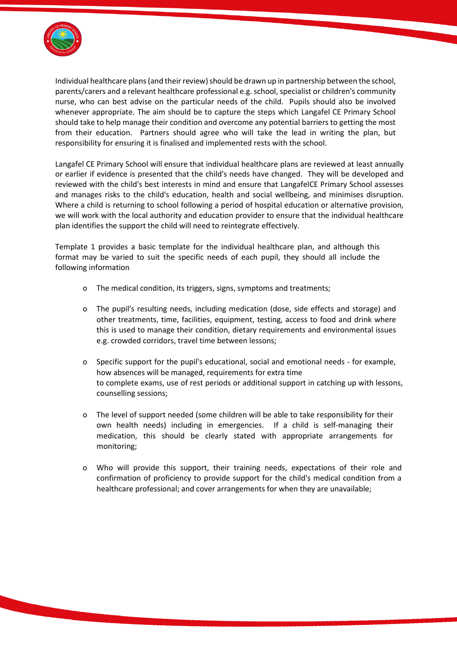

Individual healthcare plans (and their review) should be drawn up in partnership between the school, parents/carers and a relevant healthcare professional e.g. school, specialist or children's community nurse, who can best advise on the particular needs of the child. Pupils should also be involved whenever appropriate. The aim should be to capture the steps which Langafel CE Primary School should take to help manage their condition and overcome any potential barriers to getting the most from their education. Partners should agree who will take the lead in writing the plan, but responsibility for ensuring it is finalised and implemented rests with the school.

Langafel CE Primary School will ensure that individual healthcare plans are reviewed at least annually or earlier if evidence is presented that the child's needs have changed. They will be developed and reviewed with the child's best interests in mind and ensure that LangafelCE Primary School assesses and manages risks to the child's education, health and social wellbeing, and minimises disruption. Where a child is returning to school following a period of hospital education or alternative provision, we will work with the local authority and education provider to ensure that the individual healthcare plan identifies the support the child will need to reintegrate effectively.

Template 1 provides a basic template for the individual healthcare plan, and although this format may be varied to suit the specific needs of each pupil, they should all include the following information

- o The medical condition, its triggers, signs, symptoms and treatments;
- o The pupil's resulting needs, including medication (dose, side effects and storage) and other treatments, time, facilities, equipment, testing, access to food and drink where this is used to manage their condition, dietary requirements and environmental issues e.g. crowded corridors, travel time between lessons;
- o Specific support for the pupil's educational, social and emotional needs for example, how absences will be managed, requirements for extra time to complete exams, use of rest periods or additional support in catching up with lessons, counselling sessions;
- o The level of support needed (some children will be able to take responsibility for their own health needs) including in emergencies. If a child is self-managing their medication, this should be clearly stated with appropriate arrangements for monitoring;
- o Who will provide this support, their training needs, expectations of their role and confirmation of proficiency to provide support for the child's medical condition from a healthcare professional; and cover arrangements for when they are unavailable;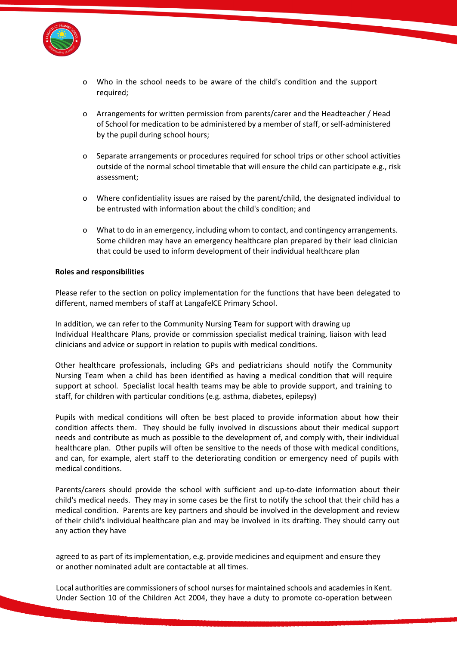

- o Who in the school needs to be aware of the child's condition and the support required;
- o Arrangements for written permission from parents/carer and the Headteacher / Head of School for medication to be administered by a member of staff, or self-administered by the pupil during school hours;
- o Separate arrangements or procedures required for school trips or other school activities outside of the normal school timetable that will ensure the child can participate e.g., risk assessment;
- o Where confidentiality issues are raised by the parent/child, the designated individual to be entrusted with information about the child's condition; and
- o What to do in an emergency, including whom to contact, and contingency arrangements. Some children may have an emergency healthcare plan prepared by their lead clinician that could be used to inform development of their individual healthcare plan

#### **Roles and responsibilities**

Please refer to the section on policy implementation for the functions that have been delegated to different, named members of staff at LangafelCE Primary School.

In addition, we can refer to the Community Nursing Team for support with drawing up Individual Healthcare Plans, provide or commission specialist medical training, liaison with lead clinicians and advice or support in relation to pupils with medical conditions.

Other healthcare professionals, including GPs and pediatricians should notify the Community Nursing Team when a child has been identified as having a medical condition that will require support at school. Specialist local health teams may be able to provide support, and training to staff, for children with particular conditions (e.g. asthma, diabetes, epilepsy)

Pupils with medical conditions will often be best placed to provide information about how their condition affects them. They should be fully involved in discussions about their medical support needs and contribute as much as possible to the development of, and comply with, their individual healthcare plan. Other pupils will often be sensitive to the needs of those with medical conditions, and can, for example, alert staff to the deteriorating condition or emergency need of pupils with medical conditions.

Parents/carers should provide the school with sufficient and up-to-date information about their child's medical needs. They may in some cases be the first to notify the school that their child has a medical condition. Parents are key partners and should be involved in the development and review of their child's individual healthcare plan and may be involved in its drafting. They should carry out any action they have

agreed to as part of its implementation, e.g. provide medicines and equipment and ensure they or another nominated adult are contactable at all times.

Local authorities are commissioners of school nurses for maintained schools and academies in Kent. Under Section 10 of the Children Act 2004, they have a duty to promote co-operation between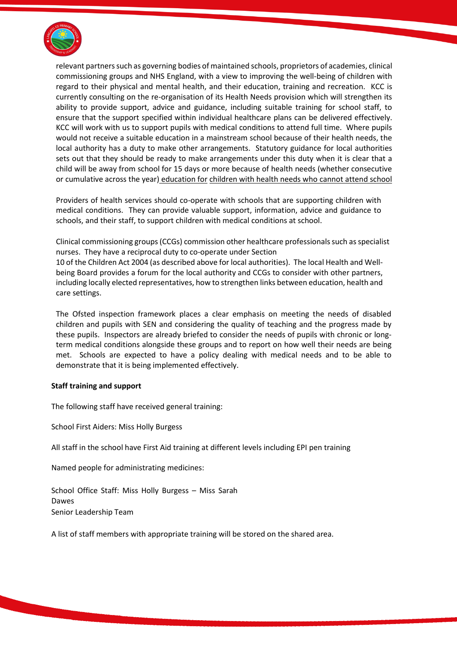

relevant partners such as governing bodies of maintained schools, proprietors of academies, clinical commissioning groups and NHS England, with a view to improving the well-being of children with regard to their physical and mental health, and their education, training and recreation. KCC is currently consulting on the re-organisation of its Health Needs provision which will strengthen its ability to provide support, advice and guidance, including suitable training for school staff, to ensure that the support specified within individual healthcare plans can be delivered effectively. KCC will work with us to support pupils with medical conditions to attend full time. Where pupils would not receive a suitable education in a mainstream school because of their health needs, the local authority has a duty to make other arrangements. Statutory guidance for local authorities sets out that they should be ready to make arrangements under this duty when it is clear that a child will be away from school for 15 days or more because of health needs (whether consecutive or cumulative across the year) education for children with health needs who cannot attend school

Providers of health services should co-operate with schools that are supporting children with medical conditions. They can provide valuable support, information, advice and guidance to schools, and their staff, to support children with medical conditions at school.

Clinical commissioning groups (CCGs) commission other healthcare professionals such as specialist nurses. They have a reciprocal duty to co-operate under Section 10 of the Children Act 2004 (as described above for local authorities). The local Health and Wellbeing Board provides a forum for the local authority and CCGs to consider with other partners, including locally elected representatives, how to strengthen links between education, health and care settings.

The Ofsted inspection framework places a clear emphasis on meeting the needs of disabled children and pupils with SEN and considering the quality of teaching and the progress made by these pupils. Inspectors are already briefed to consider the needs of pupils with chronic or longterm medical conditions alongside these groups and to report on how well their needs are being met. Schools are expected to have a policy dealing with medical needs and to be able to demonstrate that it is being implemented effectively.

#### **Staff training and support**

The following staff have received general training:

School First Aiders: Miss Holly Burgess

All staff in the school have First Aid training at different levels including EPI pen training

Named people for administrating medicines:

School Office Staff: Miss Holly Burgess – Miss Sarah Dawes Senior Leadership Team

A list of staff members with appropriate training will be stored on the shared area.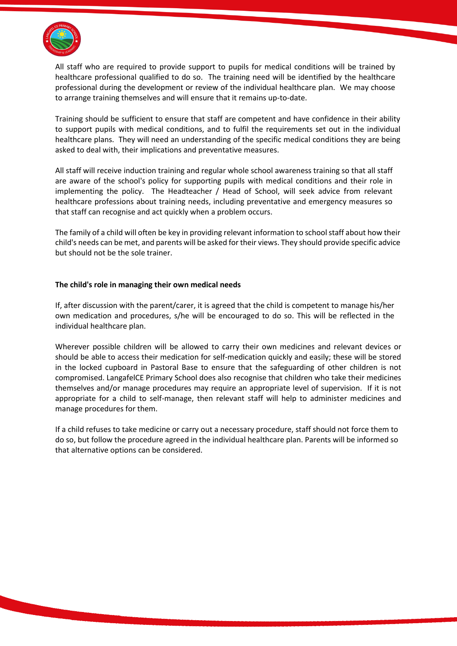

All staff who are required to provide support to pupils for medical conditions will be trained by healthcare professional qualified to do so. The training need will be identified by the healthcare professional during the development or review of the individual healthcare plan. We may choose to arrange training themselves and will ensure that it remains up-to-date.

Training should be sufficient to ensure that staff are competent and have confidence in their ability to support pupils with medical conditions, and to fulfil the requirements set out in the individual healthcare plans. They will need an understanding of the specific medical conditions they are being asked to deal with, their implications and preventative measures.

All staff will receive induction training and regular whole school awareness training so that all staff are aware of the school's policy for supporting pupils with medical conditions and their role in implementing the policy. The Headteacher / Head of School, will seek advice from relevant healthcare professions about training needs, including preventative and emergency measures so that staff can recognise and act quickly when a problem occurs.

The family of a child will often be key in providing relevant information to school staff about how their child's needs can be met, and parents will be asked for their views. They should provide specific advice but should not be the sole trainer.

#### **The child's role in managing their own medical needs**

If, after discussion with the parent/carer, it is agreed that the child is competent to manage his/her own medication and procedures, s/he will be encouraged to do so. This will be reflected in the individual healthcare plan.

Wherever possible children will be allowed to carry their own medicines and relevant devices or should be able to access their medication for self-medication quickly and easily; these will be stored in the locked cupboard in Pastoral Base to ensure that the safeguarding of other children is not compromised. LangafelCE Primary School does also recognise that children who take their medicines themselves and/or manage procedures may require an appropriate level of supervision. If it is not appropriate for a child to self-manage, then relevant staff will help to administer medicines and manage procedures for them.

If a child refuses to take medicine or carry out a necessary procedure, staff should not force them to do so, but follow the procedure agreed in the individual healthcare plan. Parents will be informed so that alternative options can be considered.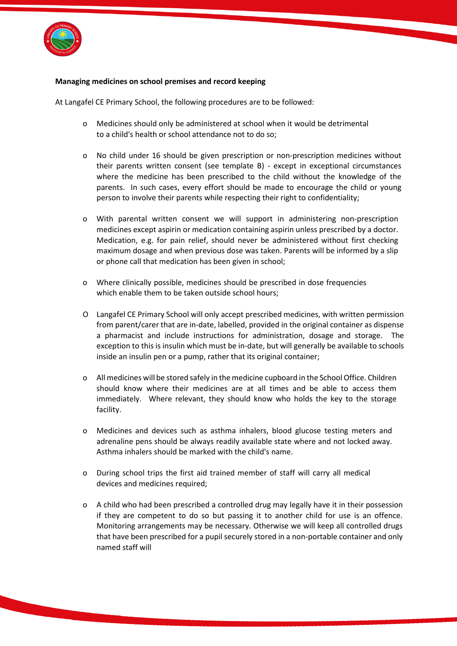

### **Managing medicines on school premises and record keeping**

At Langafel CE Primary School, the following procedures are to be followed:

- o Medicines should only be administered at school when it would be detrimental to a child's health or school attendance not to do so;
- o No child under 16 should be given prescription or non-prescription medicines without their parents written consent (see template B) - except in exceptional circumstances where the medicine has been prescribed to the child without the knowledge of the parents. In such cases, every effort should be made to encourage the child or young person to involve their parents while respecting their right to confidentiality;
- o With parental written consent we will support in administering non-prescription medicines except aspirin or medication containing aspirin unless prescribed by a doctor. Medication, e.g. for pain relief, should never be administered without first checking maximum dosage and when previous dose was taken. Parents will be informed by a slip or phone call that medication has been given in school;
- o Where clinically possible, medicines should be prescribed in dose frequencies which enable them to be taken outside school hours;
- O Langafel CE Primary School will only accept prescribed medicines, with written permission from parent/carer that are in-date, labelled, provided in the original container as dispense a pharmacist and include instructions for administration, dosage and storage. The exception to this is insulin which must be in-date, but will generally be available to schools inside an insulin pen or a pump, rather that its original container;
- o All medicines will be stored safely in the medicine cupboard in the School Office. Children should know where their medicines are at all times and be able to access them immediately. Where relevant, they should know who holds the key to the storage facility.
- o Medicines and devices such as asthma inhalers, blood glucose testing meters and adrenaline pens should be always readily available state where and not locked away. Asthma inhalers should be marked with the child's name.
- o During school trips the first aid trained member of staff will carry all medical devices and medicines required;
- o A child who had been prescribed a controlled drug may legally have it in their possession if they are competent to do so but passing it to another child for use is an offence. Monitoring arrangements may be necessary. Otherwise we will keep all controlled drugs that have been prescribed for a pupil securely stored in a non-portable container and only named staff will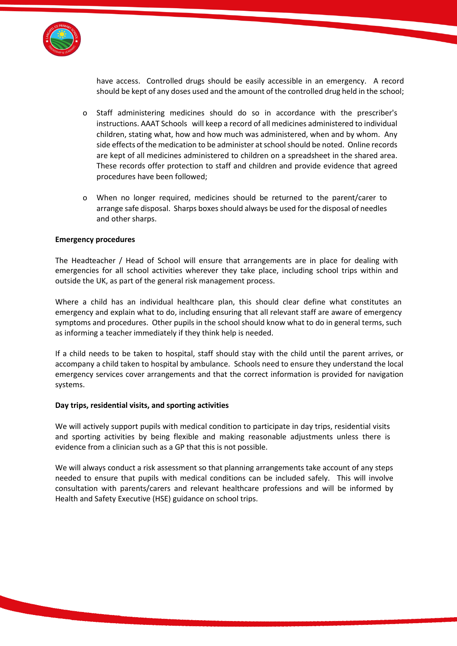

have access. Controlled drugs should be easily accessible in an emergency. A record should be kept of any doses used and the amount of the controlled drug held in the school;

- o Staff administering medicines should do so in accordance with the prescriber's instructions. AAAT Schools will keep a record of all medicines administered to individual children, stating what, how and how much was administered, when and by whom. Any side effects of the medication to be administer at school should be noted. Online records are kept of all medicines administered to children on a spreadsheet in the shared area. These records offer protection to staff and children and provide evidence that agreed procedures have been followed;
- o When no longer required, medicines should be returned to the parent/carer to arrange safe disposal. Sharps boxes should always be used for the disposal of needles and other sharps.

#### **Emergency procedures**

The Headteacher / Head of School will ensure that arrangements are in place for dealing with emergencies for all school activities wherever they take place, including school trips within and outside the UK, as part of the general risk management process.

Where a child has an individual healthcare plan, this should clear define what constitutes an emergency and explain what to do, including ensuring that all relevant staff are aware of emergency symptoms and procedures. Other pupils in the school should know what to do in general terms, such as informing a teacher immediately if they think help is needed.

If a child needs to be taken to hospital, staff should stay with the child until the parent arrives, or accompany a child taken to hospital by ambulance. Schools need to ensure they understand the local emergency services cover arrangements and that the correct information is provided for navigation systems.

#### **Day trips, residential visits, and sporting activities**

We will actively support pupils with medical condition to participate in day trips, residential visits and sporting activities by being flexible and making reasonable adjustments unless there is evidence from a clinician such as a GP that this is not possible.

We will always conduct a risk assessment so that planning arrangements take account of any steps needed to ensure that pupils with medical conditions can be included safely. This will involve consultation with parents/carers and relevant healthcare professions and will be informed by Health and Safety Executive (HSE) guidance on school trips.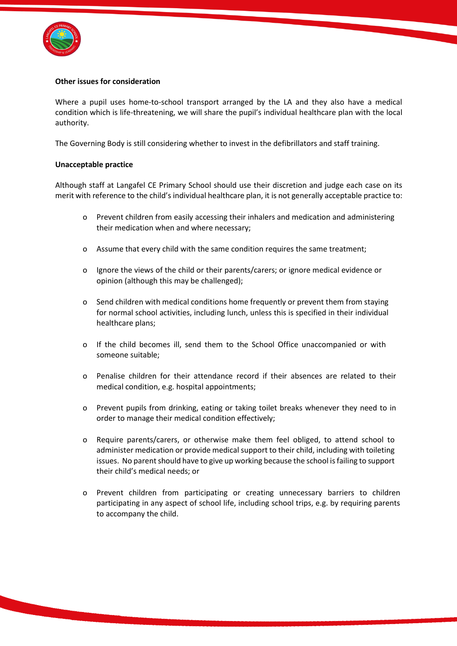

#### **Other issues for consideration**

Where a pupil uses home-to-school transport arranged by the LA and they also have a medical condition which is life-threatening, we will share the pupil's individual healthcare plan with the local authority.

The Governing Body is still considering whether to invest in the defibrillators and staff training.

#### **Unacceptable practice**

Although staff at Langafel CE Primary School should use their discretion and judge each case on its merit with reference to the child's individual healthcare plan, it is not generally acceptable practice to:

- o Prevent children from easily accessing their inhalers and medication and administering their medication when and where necessary;
- o Assume that every child with the same condition requires the same treatment;
- o Ignore the views of the child or their parents/carers; or ignore medical evidence or opinion (although this may be challenged);
- o Send children with medical conditions home frequently or prevent them from staying for normal school activities, including lunch, unless this is specified in their individual healthcare plans;
- o If the child becomes ill, send them to the School Office unaccompanied or with someone suitable;
- o Penalise children for their attendance record if their absences are related to their medical condition, e.g. hospital appointments;
- o Prevent pupils from drinking, eating or taking toilet breaks whenever they need to in order to manage their medical condition effectively;
- o Require parents/carers, or otherwise make them feel obliged, to attend school to administer medication or provide medical support to their child, including with toileting issues. No parent should have to give up working because the school is failing to support their child's medical needs; or
- Prevent children from participating or creating unnecessary barriers to children participating in any aspect of school life, including school trips, e.g. by requiring parents to accompany the child.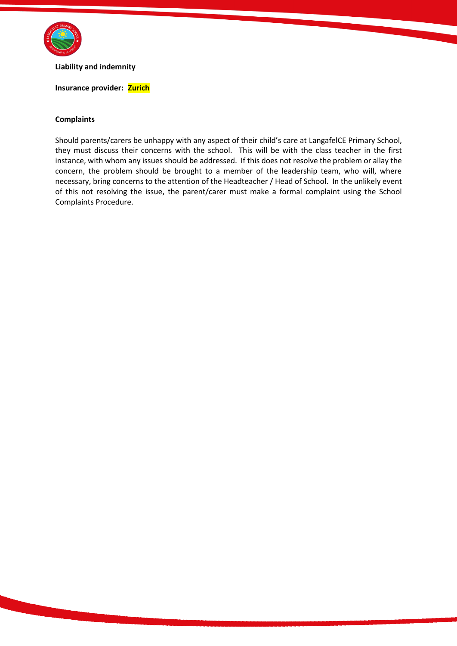

**Liability and indemnity**

#### **Insurance provider: Zurich**

#### **Complaints**

Should parents/carers be unhappy with any aspect of their child's care at LangafelCE Primary School, they must discuss their concerns with the school. This will be with the class teacher in the first instance, with whom any issues should be addressed. If this does not resolve the problem or allay the concern, the problem should be brought to a member of the leadership team, who will, where necessary, bring concerns to the attention of the Headteacher / Head of School. In the unlikely event of this not resolving the issue, the parent/carer must make a formal complaint using the School Complaints Procedure.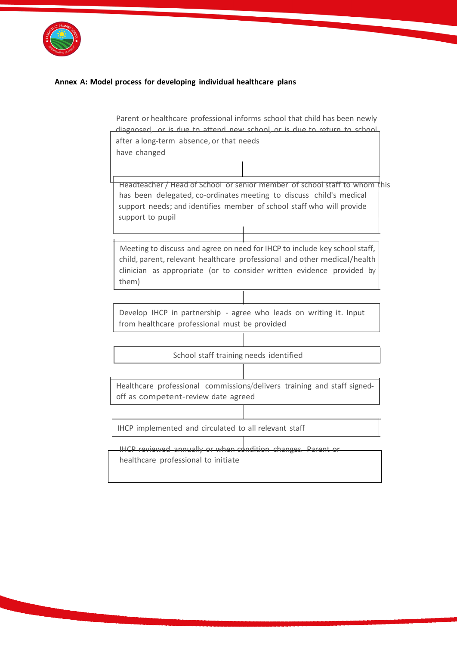

## **Annex A: Model process for developing individual healthcare plans**

|                                                                                                    | Parent or healthcare professional informs school that child has been newly                                                                                                                                                                     |  |  |
|----------------------------------------------------------------------------------------------------|------------------------------------------------------------------------------------------------------------------------------------------------------------------------------------------------------------------------------------------------|--|--|
|                                                                                                    | diagnosed, or is due to attend new school, or is due to return to school,                                                                                                                                                                      |  |  |
|                                                                                                    | after a long-term absence, or that needs                                                                                                                                                                                                       |  |  |
|                                                                                                    | have changed                                                                                                                                                                                                                                   |  |  |
|                                                                                                    |                                                                                                                                                                                                                                                |  |  |
|                                                                                                    | Headteacher / Head of School or senior member of school staff to whom this<br>has been delegated, co-ordinates meeting to discuss child's medical<br>support needs; and identifies member of school staff who will provide<br>support to pupil |  |  |
|                                                                                                    | Meeting to discuss and agree on need for IHCP to include key school staff,<br>child, parent, relevant healthcare professional and other medical/health<br>clinician as appropriate (or to consider written evidence provided by<br>them)       |  |  |
|                                                                                                    |                                                                                                                                                                                                                                                |  |  |
|                                                                                                    | Develop IHCP in partnership - agree who leads on writing it. Input<br>from healthcare professional must be provided                                                                                                                            |  |  |
|                                                                                                    |                                                                                                                                                                                                                                                |  |  |
|                                                                                                    | School staff training needs identified                                                                                                                                                                                                         |  |  |
|                                                                                                    |                                                                                                                                                                                                                                                |  |  |
|                                                                                                    | Healthcare professional commissions/delivers training and staff signed-<br>off as competent-review date agreed                                                                                                                                 |  |  |
|                                                                                                    |                                                                                                                                                                                                                                                |  |  |
| IHCP implemented and circulated to all relevant staff                                              |                                                                                                                                                                                                                                                |  |  |
| IHCP reviewed annually or when condition changes. Parent or<br>healthcare professional to initiate |                                                                                                                                                                                                                                                |  |  |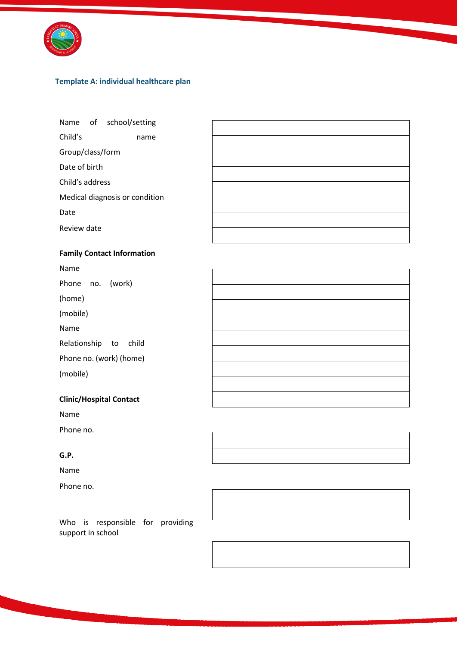

## **Template A: individual healthcare plan**

Name of school/setting

Child's name

Group/class/form

Date of birth

Child's address

Medical diagnosis or condition

Date

Review date

## **Family Contact Information**

Name

Phone no. (work)

(home)

(mobile)

Name

Relationship to child

Phone no. (work) (home)

(mobile)

## **Clinic/Hospital Contact**

Name

Phone no.

## **G.P.**

Name

Phone no.



Who is responsible for providing support in school

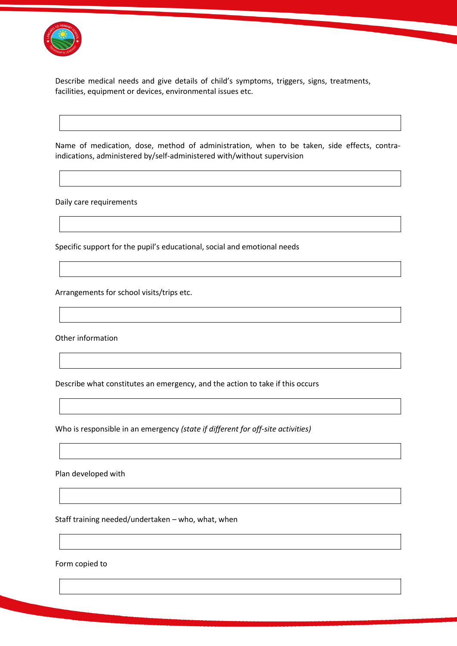

Describe medical needs and give details of child's symptoms, triggers, signs, treatments, facilities, equipment or devices, environmental issues etc.

Name of medication, dose, method of administration, when to be taken, side effects, contraindications, administered by/self-administered with/without supervision

Daily care requirements

Specific support for the pupil's educational, social and emotional needs

Arrangements for school visits/trips etc.

Other information

Describe what constitutes an emergency, and the action to take if this occurs

Who is responsible in an emergency *(state if different for off-site activities)*

Plan developed with

Staff training needed/undertaken – who, what, when

Form copied to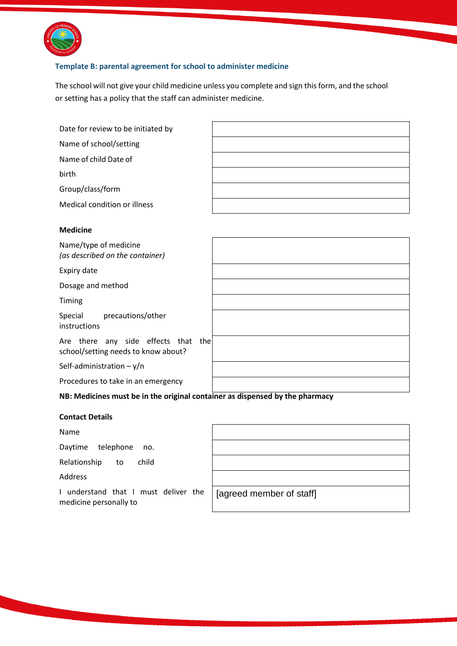

## **Template B: parental agreement for school to administer medicine**

The school will not give your child medicine unless you complete and sign this form, and the school or setting has a policy that the staff can administer medicine.

| Date for review to be initiated by                                         |  |
|----------------------------------------------------------------------------|--|
| Name of school/setting                                                     |  |
| Name of child Date of                                                      |  |
| birth                                                                      |  |
| Group/class/form                                                           |  |
| Medical condition or illness                                               |  |
|                                                                            |  |
| <b>Medicine</b>                                                            |  |
| Name/type of medicine<br>(as described on the container)                   |  |
| Expiry date                                                                |  |
| Dosage and method                                                          |  |
| Timing                                                                     |  |
| Special<br>precautions/other<br>instructions                               |  |
| Are there any side effects that the<br>school/setting needs to know about? |  |
| Self-administration $-y/n$                                                 |  |

Procedures to take in an emergency

## **NB: Medicines must be in the original container as dispensed by the pharmacy**

## **Contact Details**

Name

Daytime telephone no.

Relationship to child

Address

I understand that I must deliver the medicine personally to

[agreed member of staff]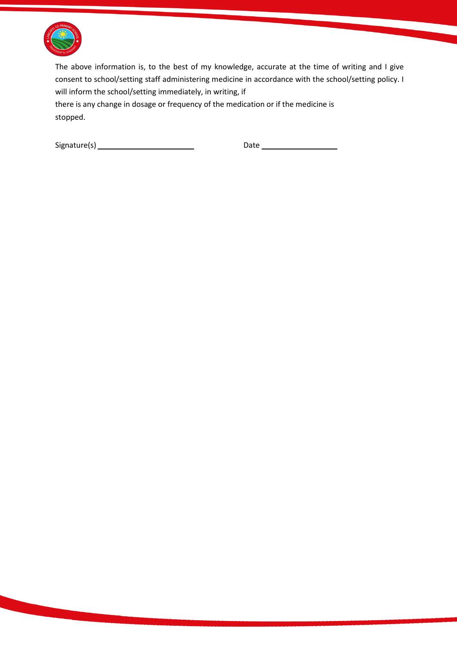

The above information is, to the best of my knowledge, accurate at the time of writing and I give consent to school/setting staff administering medicine in accordance with the school/setting policy. I will inform the school/setting immediately, in writing, if

there is any change in dosage or frequency of the medication or if the medicine is stopped.

 $Signature(s)$  Date  $Date$  Date  $Date$